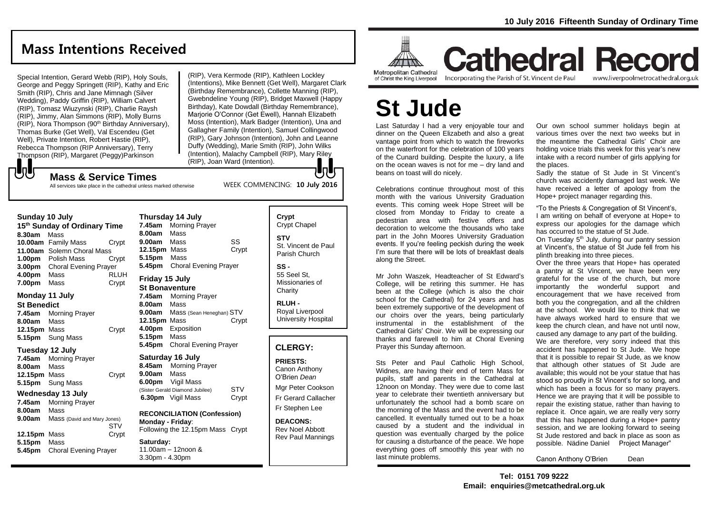### **Mass Intentions Received**

Special Intention, Gerard Webb (RIP), Holy Souls, George and Peggy Springett (RIP), Kathy and Eric Smith (RIP), Chris and Jane Mimnagh (Silver Wedding), Paddy Griffin (RIP), William Calvert (RIP), Tomasz Wiuzynski (RIP), Charlie Raysh (RIP), Jimmy, Alan Simmons (RIP), Molly Burns  $(RIP)$ , Nora Thompson (90<sup>th</sup> Birthday Anniversary), Thomas Burke (Get Well), Val Escendeu (Get Well), Private Intention, Robert Hastie (RIP), Rebecca Thompson (RIP Anniversary), Terry Thompson (RIP), Margaret (Peggy)Parkinson

(RIP), Vera Kermode (RIP), Kathleen Lockley (Intentions), Mike Bennett (Get Well), Margaret Clark (Birthday Remembrance), Collette Manning (RIP), Gwebndeline Young (RIP), Bridget Maxwell (Happy Birthday), Kate Dowdall (Birthday Remembrance), Marjorie O'Connor (Get Ewell), Hannah Elizabeth Moss (Intention), Mark Badger (Intention), Una and Gallagher Family (Intention), Samuel Collingwood (RIP), Gary Johnson (Intention), John and Leanne Duffy (Wedding), Marie Smith (RIP), John Wilks (Intention), Malachy Campbell (RIP), Mary Riley (RIP), Joan Ward (Intention). lo li

WEEK COMMENCING: **10 July 2016**

### **Mass & Service Times**

All services take place in the cathedral unless marked otherwise

#### **Sunday 10 July**

でし

**15th Sunday of Ordinary Time 8.30am** Mass **10.00am** Family Mass Crypt **11.00am** Solemn Choral Mass **1.00pm** Polish Mass Crypt **3.00pm** Choral Evening Prayer **4.00pm** Mass RLUH **7.00pm** Mass Crypt

### **Monday 11 July**

**St Benedict 7.45am** Morning Prayer **8.00am** Mass 12.15pm Mass **Crypt 5.15pm** Sung Mass

### **Tuesday 12 July**

**7.45am** Morning Prayer **8.00am** Mass **12.15pm** Mass Crypt **5.15pm** Sung Mass

### **Wednesday 13 July**

**7.45am** Morning Prayer **8.00am** Mass **9.00am** Mass (David and Mary Jones) STV **12.15pm** Mass Crypt **5.15pm** Mass **5.45pm** Choral Evening Prayer

**Thursday 14 July 7.45am** Morning Prayer **8.00am** Mass **9.00am** Mass SS **12.15pm** Mass Crypt **5.15pm** Mass **5.45pm** Choral Evening Prayer **Friday 15 July St Bonaventure 7.45am** Morning Prayer **8.00am** Mass **9.00am** Mass (Sean Heneghan) STV **12.15pm** Mass Crypt

**4.00pm** Exposition **5.15pm** Mass **5.45pm** Choral Evening Prayer

#### **Saturday 16 July 8.45am** Morning Prayer

**9.00am** Mass **6.00pm** Vigil Mass (Sister Gerald Diamond Jubilee) STV **6.30pm** Vigil Mass Crypt

**RECONCILIATION (Confession) Monday - Friday**: Following the 12.15pm Mass Crypt

**Saturday:** 11.00am – 12noon & 3.30pm - 4.30pm

### **Crypt**  Crypt Chapel **STV** St. Vincent de Paul Parish Church

**SS -** 55 Seel St, Missionaries of **Charity** 

**RLUH -** Royal Liverpool University Hospital

### **CLERGY:**

**PRIESTS:** Canon Anthony O'Brien *Dean*

Mgr Peter Cookson Fr Gerard Callacher Fr Stephen Lee

**DEACONS:** Rev Noel Abbott Rev Paul Mannings



of Christ the King Liverpool

Incorporating the Parish of St. Vincent de Paul

### **Cathedral Record** www.liverpoolmetrocathedral.org.uk

# **St Jude**

Last Saturday I had a very enjoyable tour and dinner on the Queen Elizabeth and also a great vantage point from which to watch the fireworks on the waterfront for the celebration of 100 years of the Cunard building. Despite the luxury, a life on the ocean waves is not for me – dry land and beans on toast will do nicely.

Celebrations continue throughout most of this month with the various University Graduation events. This coming week Hope Street will be closed from Monday to Friday to create a pedestrian area with festive offers and decoration to welcome the thousands who take part in the John Moores University Graduation events. If you're feeling peckish during the week I'm sure that there will be lots of breakfast deals along the Street.

Mr John Waszek, Headteacher of St Edward's College, will be retiring this summer. He has been at the College (which is also the choir school for the Cathedral) for 24 years and has been extremely supportive of the development of our choirs over the years, being particularly instrumental in the establishment of the Cathedral Girls' Choir. We will be expressing our thanks and farewell to him at Choral Evening Prayer this Sunday afternoon.

Sts Peter and Paul Catholic High School, Widnes, are having their end of term Mass for pupils, staff and parents in the Cathedral at 12noon on Monday. They were due to come last year to celebrate their twentieth anniversary but unfortunately the school had a bomb scare on the morning of the Mass and the event had to be cancelled. It eventually turned out to be a hoax caused by a student and the individual in question was eventually charged by the police for causing a disturbance of the peace. We hope everything goes off smoothly this year with no last minute problems.

Our own school summer holidays begin at various times over the next two weeks but in the meantime the Cathedral Girls' Choir are holding voice trials this week for this year's new intake with a record number of girls applying for the places.

Sadly the statue of St Jude in St Vincent's church was accidently damaged last week. We have received a letter of apology from the Hope+ project manager regarding this.

"To the Priests & Congregation of St Vincent's, I am writing on behalf of everyone at Hope+ to express our apologies for the damage which has occurred to the statue of St Jude.

On Tuesday 5<sup>th</sup> July, during our pantry session at Vincent's, the statue of St Jude fell from his plinth breaking into three pieces.

Over the three years that Hope+ has operated a pantry at St Vincent, we have been very grateful for the use of the church, but more importantly the wonderful support and encouragement that we have received from both you the congregation, and all the children at the school. We would like to think that we have always worked hard to ensure that we keep the church clean, and have not until now, caused any damage to any part of the building. We are therefore, very sorry indeed that this accident has happened to St Jude. We hope that it is possible to repair St Jude, as we know that although other statues of St Jude are available; this would not be your statue that has stood so proudly in St Vincent's for so long, and which has been a focus for so many prayers. Hence we are praying that it will be possible to repair the existing statue, rather than having to replace it. Once again, we are really very sorry that this has happened during a Hope+ pantry session, and we are looking forward to seeing St Jude restored and back in place as soon as possible. Nädine Daniel Project Manager"

Canon Anthony O'Brien Dean